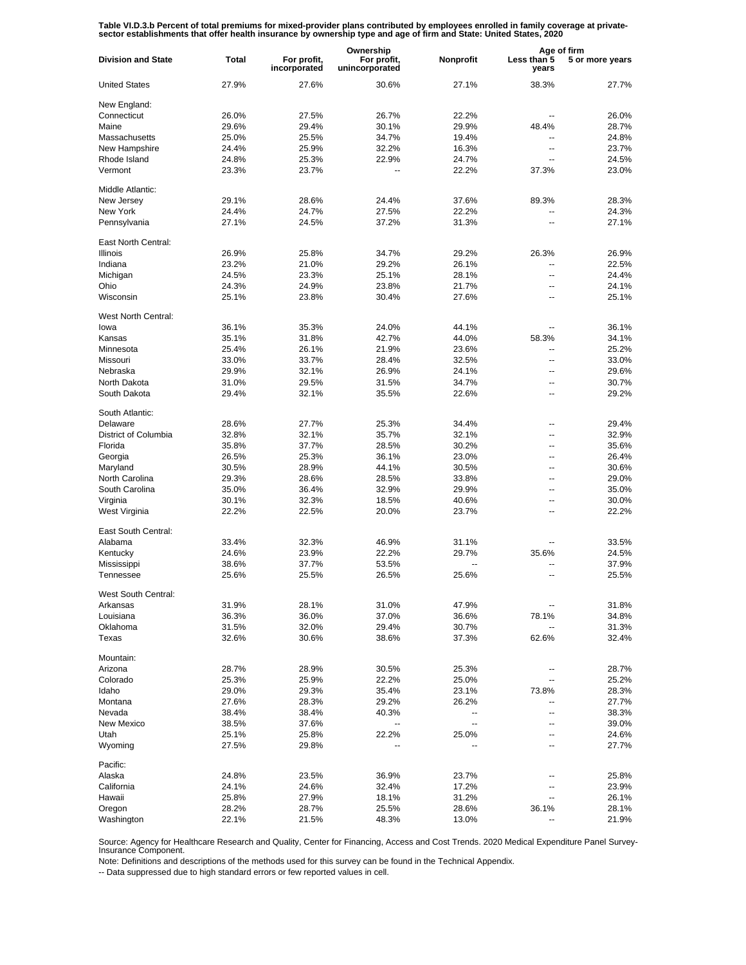Table VI.D.3.b Percent of total premiums for mixed-provider plans contributed by employees enrolled in family coverage at private-<br>sector establishments that offer health insurance by ownership type and age of firm and Sta

|                           |              |                             | Ownership                     |           | Age of firm              |                 |
|---------------------------|--------------|-----------------------------|-------------------------------|-----------|--------------------------|-----------------|
| <b>Division and State</b> | <b>Total</b> | For profit,<br>incorporated | For profit,<br>unincorporated | Nonprofit | Less than 5<br>years     | 5 or more years |
| <b>United States</b>      | 27.9%        | 27.6%                       | 30.6%                         | 27.1%     | 38.3%                    | 27.7%           |
| New England:              |              |                             |                               |           |                          |                 |
| Connecticut               | 26.0%        | 27.5%                       | 26.7%                         | 22.2%     | $-$                      | 26.0%           |
| Maine                     | 29.6%        | 29.4%                       | 30.1%                         | 29.9%     | 48.4%                    | 28.7%           |
| Massachusetts             | 25.0%        | 25.5%                       | 34.7%                         | 19.4%     | $\mathbf{u}$             | 24.8%           |
| New Hampshire             | 24.4%        | 25.9%                       | 32.2%                         | 16.3%     | $\overline{\phantom{a}}$ | 23.7%           |
|                           |              |                             |                               |           | $\overline{a}$           |                 |
| Rhode Island              | 24.8%        | 25.3%                       | 22.9%                         | 24.7%     |                          | 24.5%           |
| Vermont                   | 23.3%        | 23.7%                       | $\overline{\phantom{a}}$      | 22.2%     | 37.3%                    | 23.0%           |
| Middle Atlantic:          |              |                             |                               |           |                          |                 |
| New Jersey                | 29.1%        | 28.6%                       | 24.4%                         | 37.6%     | 89.3%                    | 28.3%           |
| New York                  | 24.4%        | 24.7%                       | 27.5%                         | 22.2%     | ۵.                       | 24.3%           |
| Pennsylvania              | 27.1%        | 24.5%                       | 37.2%                         | 31.3%     |                          | 27.1%           |
| East North Central:       |              |                             |                               |           |                          |                 |
| <b>Illinois</b>           | 26.9%        | 25.8%                       | 34.7%                         | 29.2%     | 26.3%                    | 26.9%           |
| Indiana                   | 23.2%        | 21.0%                       | 29.2%                         | 26.1%     | --                       | 22.5%           |
| Michigan                  | 24.5%        | 23.3%                       | 25.1%                         | 28.1%     | ۵.                       | 24.4%           |
| Ohio                      | 24.3%        | 24.9%                       | 23.8%                         | 21.7%     | --                       | 24.1%           |
| Wisconsin                 |              |                             | 30.4%                         |           |                          | 25.1%           |
|                           | 25.1%        | 23.8%                       |                               | 27.6%     | --                       |                 |
| West North Central:       |              |                             |                               |           |                          |                 |
| lowa                      | 36.1%        | 35.3%                       | 24.0%                         | 44.1%     | $\overline{a}$           | 36.1%           |
| Kansas                    | 35.1%        | 31.8%                       | 42.7%                         | 44.0%     | 58.3%                    | 34.1%           |
| Minnesota                 | 25.4%        | 26.1%                       | 21.9%                         | 23.6%     | $\overline{a}$           | 25.2%           |
| Missouri                  | 33.0%        | 33.7%                       | 28.4%                         | 32.5%     | $\overline{a}$           | 33.0%           |
| Nebraska                  | 29.9%        | 32.1%                       | 26.9%                         | 24.1%     | $\overline{a}$           | 29.6%           |
| North Dakota              | 31.0%        | 29.5%                       | 31.5%                         | 34.7%     | $\overline{\phantom{a}}$ | 30.7%           |
| South Dakota              | 29.4%        | 32.1%                       | 35.5%                         | 22.6%     | $\overline{a}$           | 29.2%           |
| South Atlantic:           |              |                             |                               |           |                          |                 |
| Delaware                  | 28.6%        | 27.7%                       | 25.3%                         | 34.4%     | $\overline{a}$           | 29.4%           |
| District of Columbia      | 32.8%        | 32.1%                       | 35.7%                         | 32.1%     | $\overline{a}$           | 32.9%           |
| Florida                   | 35.8%        | 37.7%                       | 28.5%                         | 30.2%     | $\overline{a}$           | 35.6%           |
|                           | 26.5%        | 25.3%                       | 36.1%                         | 23.0%     | $\overline{a}$           | 26.4%           |
| Georgia                   |              |                             |                               |           |                          |                 |
| Maryland                  | 30.5%        | 28.9%                       | 44.1%                         | 30.5%     | $\overline{a}$           | 30.6%           |
| North Carolina            | 29.3%        | 28.6%                       | 28.5%                         | 33.8%     | $\overline{a}$           | 29.0%           |
| South Carolina            | 35.0%        | 36.4%                       | 32.9%                         | 29.9%     | $\overline{a}$           | 35.0%           |
| Virginia                  | 30.1%        | 32.3%                       | 18.5%                         | 40.6%     | ۵.                       | 30.0%           |
| West Virginia             | 22.2%        | 22.5%                       | 20.0%                         | 23.7%     | $\overline{a}$           | 22.2%           |
| East South Central:       |              |                             |                               |           |                          |                 |
| Alabama                   | 33.4%        | 32.3%                       | 46.9%                         | 31.1%     |                          | 33.5%           |
| Kentucky                  | 24.6%        | 23.9%                       | 22.2%                         | 29.7%     | 35.6%                    | 24.5%           |
| Mississippi               | 38.6%        | 37.7%                       | 53.5%                         | --        | --                       | 37.9%           |
| Tennessee                 | 25.6%        | 25.5%                       | 26.5%                         | 25.6%     | $\overline{a}$           | 25.5%           |
|                           |              |                             |                               |           |                          |                 |
| West South Central:       |              |                             |                               |           |                          |                 |
| Arkansas                  | 31.9%        | 28.1%                       | 31.0%                         | 47.9%     |                          | 31.8%           |
| Louisiana                 | 36.3%        | 36.0%                       | 37.0%                         | 36.6%     | 78.1%                    | 34.8%           |
| Oklahoma                  | 31.5%        | 32.0%                       | 29.4%                         | 30.7%     | ۰.                       | 31.3%           |
| Texas                     | 32.6%        | 30.6%                       | 38.6%                         | 37.3%     | 62.6%                    | 32.4%           |
| Mountain:                 |              |                             |                               |           |                          |                 |
| Arizona                   | 28.7%        | 28.9%                       | 30.5%                         | 25.3%     | --                       | 28.7%           |
| Colorado                  | 25.3%        | 25.9%                       | 22.2%                         | 25.0%     | --                       | 25.2%           |
| Idaho                     | 29.0%        | 29.3%                       | 35.4%                         | 23.1%     | 73.8%                    | 28.3%           |
| Montana                   | 27.6%        | 28.3%                       | 29.2%                         | 26.2%     | --                       | 27.7%           |
| Nevada                    | 38.4%        | 38.4%                       | 40.3%                         | --        | ۵.                       | 38.3%           |
|                           |              |                             | $\overline{\phantom{a}}$      | Щ,        |                          |                 |
| New Mexico                | 38.5%        | 37.6%                       |                               |           | --                       | 39.0%           |
| Utah                      | 25.1%        | 25.8%                       | 22.2%                         | 25.0%     | --                       | 24.6%           |
| Wyoming                   | 27.5%        | 29.8%                       |                               |           | $\overline{a}$           | 27.7%           |
| Pacific:                  |              |                             |                               |           |                          |                 |
| Alaska                    | 24.8%        | 23.5%                       | 36.9%                         | 23.7%     | -−                       | 25.8%           |
| California                | 24.1%        | 24.6%                       | 32.4%                         | 17.2%     | --                       | 23.9%           |
| Hawaii                    | 25.8%        | 27.9%                       | 18.1%                         | 31.2%     | --                       | 26.1%           |
| Oregon                    | 28.2%        | 28.7%                       | 25.5%                         | 28.6%     | 36.1%                    | 28.1%           |
| Washington                | 22.1%        | 21.5%                       | 48.3%                         | 13.0%     |                          | 21.9%           |
|                           |              |                             |                               |           |                          |                 |

Source: Agency for Healthcare Research and Quality, Center for Financing, Access and Cost Trends. 2020 Medical Expenditure Panel Survey-Insurance Component.

Note: Definitions and descriptions of the methods used for this survey can be found in the Technical Appendix.

-- Data suppressed due to high standard errors or few reported values in cell.